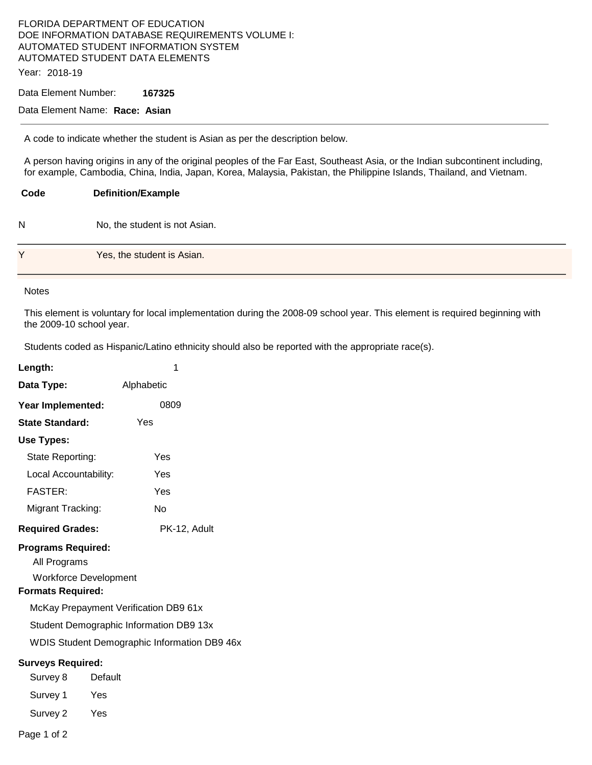## FLORIDA DEPARTMENT OF EDUCATION DOE INFORMATION DATABASE REQUIREMENTS VOLUME I: AUTOMATED STUDENT INFORMATION SYSTEM AUTOMATED STUDENT DATA ELEMENTS Year: 2018-19

Data Element Number: **167325** 

## Data Element Name: **Race: Asian**

A code to indicate whether the student is Asian as per the description below.

A person having origins in any of the original peoples of the Far East, Southeast Asia, or the Indian subcontinent including, for example, Cambodia, China, India, Japan, Korea, Malaysia, Pakistan, the Philippine Islands, Thailand, and Vietnam.

**Code Definition/Example**  N No, the student is not Asian. Y **Yes**, the student is Asian.

## Notes

This element is voluntary for local implementation during the 2008-09 school year. This element is required beginning with the 2009-10 school year.

Students coded as Hispanic/Latino ethnicity should also be reported with the appropriate race(s).

| Length:                                                               | 1                                            |  |  |  |
|-----------------------------------------------------------------------|----------------------------------------------|--|--|--|
| Data Type:                                                            | Alphabetic                                   |  |  |  |
| Year Implemented:                                                     | 0809                                         |  |  |  |
| <b>State Standard:</b>                                                | Yes                                          |  |  |  |
| Use Types:                                                            |                                              |  |  |  |
| State Reporting:                                                      | Yes                                          |  |  |  |
| Local Accountability:                                                 | Yes                                          |  |  |  |
| <b>FASTER:</b>                                                        | Yes                                          |  |  |  |
| Migrant Tracking:                                                     | No                                           |  |  |  |
| <b>Required Grades:</b>                                               | PK-12, Adult                                 |  |  |  |
| <b>Programs Required:</b><br>All Programs<br><b>Formats Required:</b> | <b>Workforce Development</b>                 |  |  |  |
|                                                                       | McKay Prepayment Verification DB9 61x        |  |  |  |
| Student Demographic Information DB9 13x                               |                                              |  |  |  |
|                                                                       | WDIS Student Demographic Information DB9 46x |  |  |  |
| <b>Surveys Required:</b>                                              |                                              |  |  |  |
| Survey 8                                                              | Default                                      |  |  |  |
| Survey 1                                                              | Yes                                          |  |  |  |
| Survey 2                                                              | Yes                                          |  |  |  |
|                                                                       |                                              |  |  |  |

Page 1 of 2